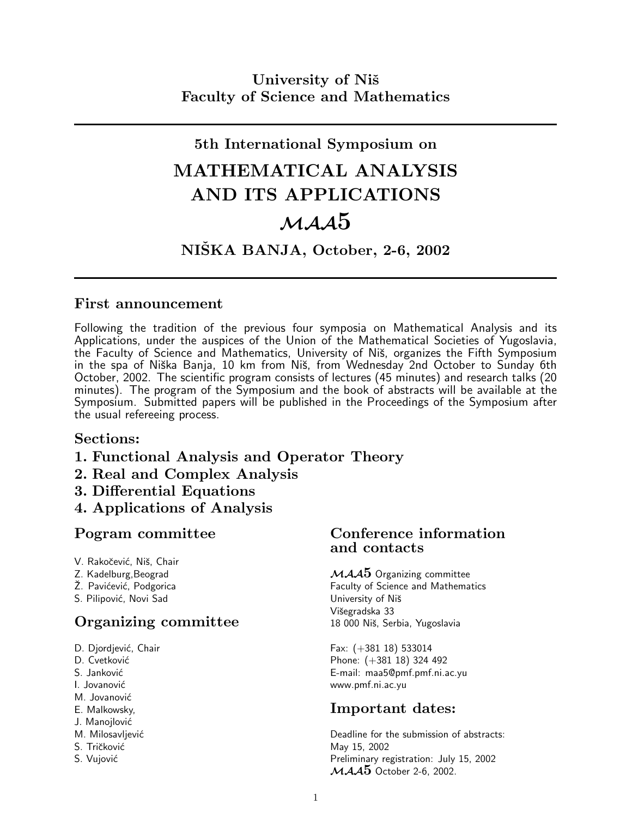## 5th International Symposium on

# MATHEMATICAL ANALYSIS AND ITS APPLICATIONS  $\mathcal{M} A \mathcal{A}$ 5

### NIŠKA BANJA, October, 2-6, 2002

#### First announcement

Following the tradition of the previous four symposia on Mathematical Analysis and its Applications, under the auspices of the Union of the Mathematical Societies of Yugoslavia, the Faculty of Science and Mathematics, University of Niš, organizes the Fifth Symposium in the spa of Niška Banja, 10 km from Niš, from Wednesday 2nd October to Sunday 6th October, 2002. The scientific program consists of lectures (45 minutes) and research talks (20 minutes). The program of the Symposium and the book of abstracts will be available at the Symposium. Submitted papers will be published in the Proceedings of the Symposium after the usual refereeing process.

#### Sections:

- 1. Functional Analysis and Operator Theory
- 2. Real and Complex Analysis
- 3. Differential Equations
- 4. Applications of Analysis

- V. Rakočević, Niš, Chair
- 
- 
- S. Pilipović, Novi Sad View View View University of Niš

## **Organizing committee** 18 000 Niš, Serbia, Yugoslavia

- 
- 
- 
- 
- M. Jovanović
- 
- J. Manojlović
- 
- 
- 

#### Pogram committee Conference information and contacts

Z. Kadelburg,Beograd MAA5 Organizing committee Faculty of Science and Mathematics Višegradska 33

D. Djordjević, Chair Fax: (+381 18) 533014 D. Cvetković Phone: (+381 18) 324 492 S. Janković **E-mail: maa5@pmf.pmf.ni.ac.yu** I. Jovanović **interview in the set of the set of the set of the set of the set of the set of the set of the set of the set of the set of the set of the set of the set of the set of the set of the set of the set of the set** 

### E. Malkowsky, **Important dates:**

M. Milosavljević **M. Milosavljević M. Milosavljević Deadline for the submission of abstracts:** S. Tričković May 15, 2002 S. Vujović **S. Vujović** Preliminary registration: July 15, 2002  $MAA5$  October 2-6, 2002.